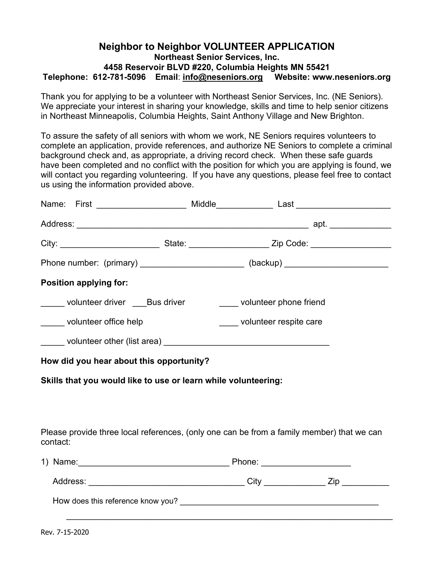## **Neighbor to Neighbor VOLUNTEER APPLICATION Northeast Senior Services, Inc. 4458 Reservoir BLVD #220, Columbia Heights MN 55421 Telephone: 612-781-5096 Email**: **[info@neseniors.org](mailto:hello@nescrc.org) Website: www.neseniors.org**

Thank you for applying to be a volunteer with Northeast Senior Services, Inc. (NE Seniors). We appreciate your interest in sharing your knowledge, skills and time to help senior citizens in Northeast Minneapolis, Columbia Heights, Saint Anthony Village and New Brighton.

To assure the safety of all seniors with whom we work, NE Seniors requires volunteers to complete an application, provide references, and authorize NE Seniors to complete a criminal background check and, as appropriate, a driving record check. When these safe guards have been completed and no conflict with the position for which you are applying is found, we will contact you regarding volunteering. If you have any questions, please feel free to contact us using the information provided above.

| Name: First ____________________ Middle____________ Last _______________________                          |                        |  |                        |  |  |
|-----------------------------------------------------------------------------------------------------------|------------------------|--|------------------------|--|--|
|                                                                                                           |                        |  |                        |  |  |
| City: ________________________________State: ___________________________Zip Code: _______________________ |                        |  |                        |  |  |
| Phone number: (primary) _______________________(backup) ________________________                          |                        |  |                        |  |  |
| <b>Position applying for:</b>                                                                             |                        |  |                        |  |  |
| ______ volunteer driver ____Bus driver                                                                    | volunteer phone friend |  |                        |  |  |
| ______ volunteer office help                                                                              |                        |  | volunteer respite care |  |  |
|                                                                                                           |                        |  |                        |  |  |
| How did you hear about this opportunity?                                                                  |                        |  |                        |  |  |
| Skills that you would like to use or learn while volunteering:                                            |                        |  |                        |  |  |
|                                                                                                           |                        |  |                        |  |  |
|                                                                                                           |                        |  |                        |  |  |
| Please provide three local references, (only one can be from a family member) that we can<br>contact:     |                        |  |                        |  |  |
|                                                                                                           |                        |  |                        |  |  |
|                                                                                                           |                        |  |                        |  |  |
|                                                                                                           |                        |  |                        |  |  |
|                                                                                                           |                        |  |                        |  |  |